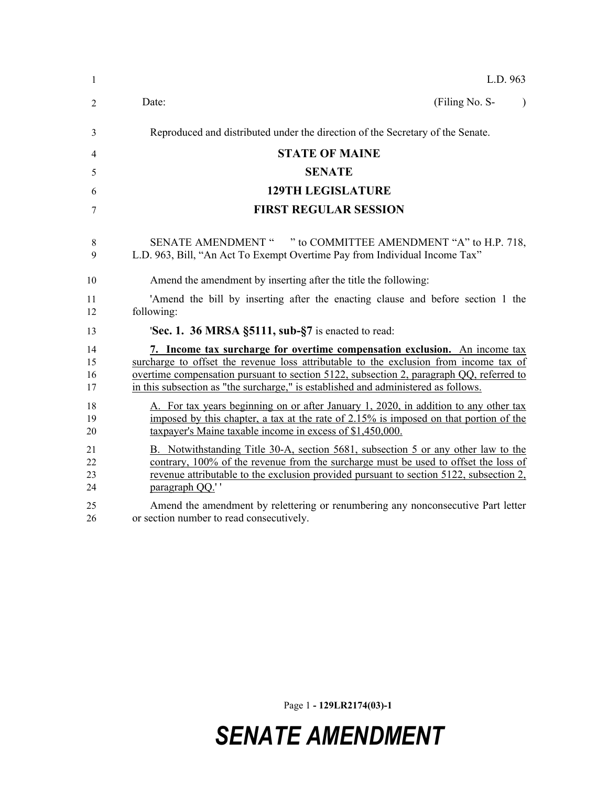| $\mathbf{1}$         | L.D. 963                                                                                                                                                                                                                                                                                                                                             |
|----------------------|------------------------------------------------------------------------------------------------------------------------------------------------------------------------------------------------------------------------------------------------------------------------------------------------------------------------------------------------------|
| $\overline{2}$       | Date:<br>(Filing No. S-<br>$\lambda$                                                                                                                                                                                                                                                                                                                 |
| 3                    | Reproduced and distributed under the direction of the Secretary of the Senate.                                                                                                                                                                                                                                                                       |
| 4                    | <b>STATE OF MAINE</b>                                                                                                                                                                                                                                                                                                                                |
| 5                    | <b>SENATE</b>                                                                                                                                                                                                                                                                                                                                        |
| 6                    | <b>129TH LEGISLATURE</b>                                                                                                                                                                                                                                                                                                                             |
| 7                    | <b>FIRST REGULAR SESSION</b>                                                                                                                                                                                                                                                                                                                         |
| 8<br>9               | SENATE AMENDMENT " " to COMMITTEE AMENDMENT "A" to H.P. 718,<br>L.D. 963, Bill, "An Act To Exempt Overtime Pay from Individual Income Tax"                                                                                                                                                                                                           |
| 10                   | Amend the amendment by inserting after the title the following:                                                                                                                                                                                                                                                                                      |
| 11<br>12             | 'Amend the bill by inserting after the enacting clause and before section 1 the<br>following:                                                                                                                                                                                                                                                        |
| 13                   | 'Sec. 1. 36 MRSA §5111, sub-§7 is enacted to read:                                                                                                                                                                                                                                                                                                   |
| 14<br>15<br>16<br>17 | 7. Income tax surcharge for overtime compensation exclusion. An income tax<br>surcharge to offset the revenue loss attributable to the exclusion from income tax of<br>overtime compensation pursuant to section 5122, subsection 2, paragraph QQ, referred to<br>in this subsection as "the surcharge," is established and administered as follows. |
| 18<br>19<br>20       | A. For tax years beginning on or after January 1, 2020, in addition to any other tax<br>imposed by this chapter, a tax at the rate of 2.15% is imposed on that portion of the<br>taxpayer's Maine taxable income in excess of \$1,450,000.                                                                                                           |
| 21<br>22<br>23<br>24 | B. Notwithstanding Title 30-A, section 5681, subsection 5 or any other law to the<br>contrary, 100% of the revenue from the surcharge must be used to offset the loss of<br>revenue attributable to the exclusion provided pursuant to section 5122, subsection 2,<br>paragraph QQ.''                                                                |
| 25<br>26             | Amend the amendment by relettering or renumbering any nonconsecutive Part letter<br>or section number to read consecutively.                                                                                                                                                                                                                         |

Page 1 **- 129LR2174(03)-1**

## *SENATE AMENDMENT*